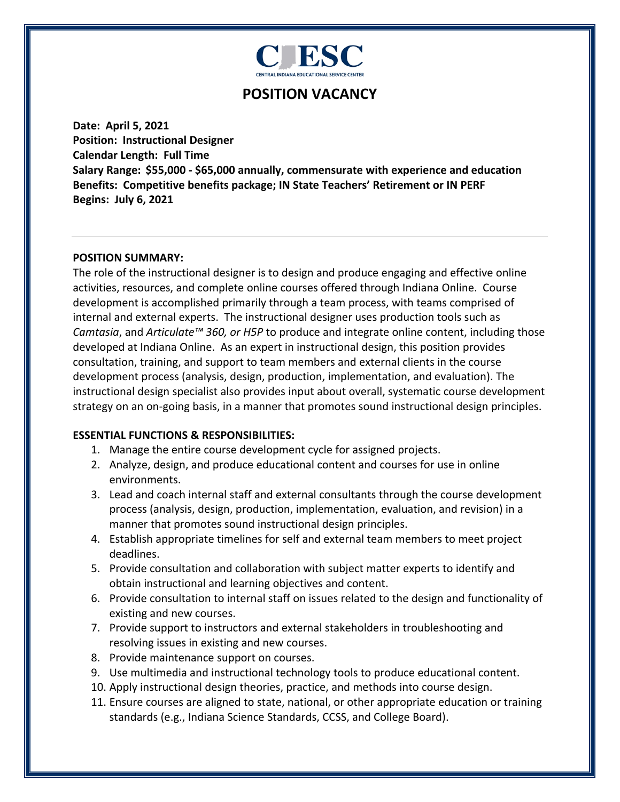

# **POSITION VACANCY**

**Date: April 5, 2021 Position: Instructional Designer Calendar Length: Full Time Salary Range: \$55,000 - \$65,000 annually, commensurate with experience and education Benefits: Competitive benefits package; IN State Teachers' Retirement or IN PERF Begins: July 6, 2021**

#### **POSITION SUMMARY:**

The role of the instructional designer is to design and produce engaging and effective online activities, resources, and complete online courses offered through Indiana Online. Course development is accomplished primarily through a team process, with teams comprised of internal and external experts. The instructional designer uses production tools such as *Camtasia*, and *Articulate™ 360, or H5P* to produce and integrate online content, including those developed at Indiana Online. As an expert in instructional design, this position provides consultation, training, and support to team members and external clients in the course development process (analysis, design, production, implementation, and evaluation). The instructional design specialist also provides input about overall, systematic course development strategy on an on-going basis, in a manner that promotes sound instructional design principles.

#### **ESSENTIAL FUNCTIONS & RESPONSIBILITIES:**

- 1. Manage the entire course development cycle for assigned projects.
- 2. Analyze, design, and produce educational content and courses for use in online environments.
- 3. Lead and coach internal staff and external consultants through the course development process (analysis, design, production, implementation, evaluation, and revision) in a manner that promotes sound instructional design principles.
- 4. Establish appropriate timelines for self and external team members to meet project deadlines.
- 5. Provide consultation and collaboration with subject matter experts to identify and obtain instructional and learning objectives and content.
- 6. Provide consultation to internal staff on issues related to the design and functionality of existing and new courses.
- 7. Provide support to instructors and external stakeholders in troubleshooting and resolving issues in existing and new courses.
- 8. Provide maintenance support on courses.
- 9. Use multimedia and instructional technology tools to produce educational content.
- 10. Apply instructional design theories, practice, and methods into course design.
- 11. Ensure courses are aligned to state, national, or other appropriate education or training standards (e.g., Indiana Science Standards, CCSS, and College Board).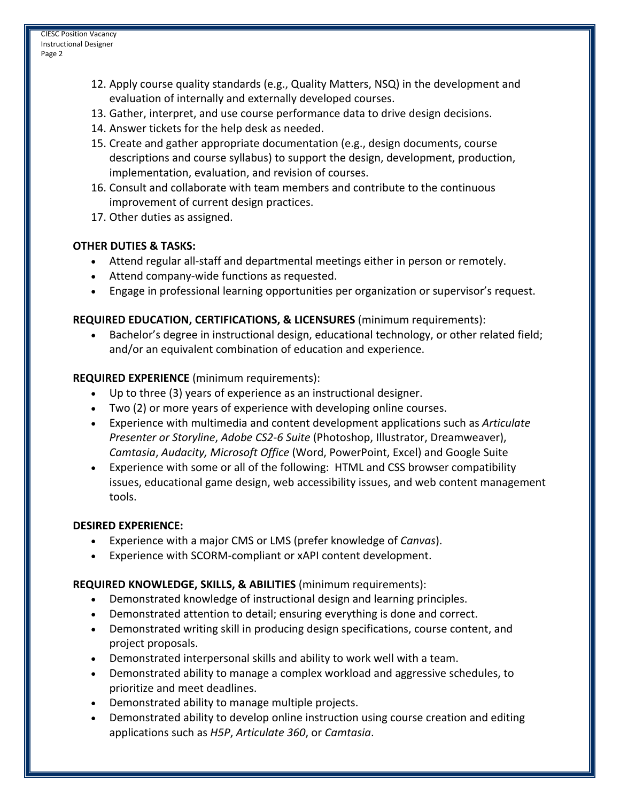- 12. Apply course quality standards (e.g., Quality Matters, NSQ) in the development and evaluation of internally and externally developed courses.
- 13. Gather, interpret, and use course performance data to drive design decisions.
- 14. Answer tickets for the help desk as needed.
- 15. Create and gather appropriate documentation (e.g., design documents, course descriptions and course syllabus) to support the design, development, production, implementation, evaluation, and revision of courses.
- 16. Consult and collaborate with team members and contribute to the continuous improvement of current design practices.
- 17. Other duties as assigned.

# **OTHER DUTIES & TASKS:**

- Attend regular all-staff and departmental meetings either in person or remotely.
- Attend company-wide functions as requested.
- Engage in professional learning opportunities per organization or supervisor's request.

### **REQUIRED EDUCATION, CERTIFICATIONS, & LICENSURES** (minimum requirements):

• Bachelor's degree in instructional design, educational technology, or other related field; and/or an equivalent combination of education and experience.

# **REQUIRED EXPERIENCE** (minimum requirements):

- Up to three (3) years of experience as an instructional designer.
- Two (2) or more years of experience with developing online courses.
- Experience with multimedia and content development applications such as *Articulate Presenter or Storyline*, *Adobe CS2-6 Suite* (Photoshop, Illustrator, Dreamweaver), *Camtasia*, *Audacity, Microsoft Office* (Word, PowerPoint, Excel) and Google Suite
- Experience with some or all of the following: HTML and CSS browser compatibility issues, educational game design, web accessibility issues, and web content management tools.

### **DESIRED EXPERIENCE:**

- Experience with a major CMS or LMS (prefer knowledge of *Canvas*).
- Experience with SCORM-compliant or xAPI content development.

### **REQUIRED KNOWLEDGE, SKILLS, & ABILITIES** (minimum requirements):

- Demonstrated knowledge of instructional design and learning principles.
- Demonstrated attention to detail; ensuring everything is done and correct.
- Demonstrated writing skill in producing design specifications, course content, and project proposals.
- Demonstrated interpersonal skills and ability to work well with a team.
- Demonstrated ability to manage a complex workload and aggressive schedules, to prioritize and meet deadlines.
- Demonstrated ability to manage multiple projects.
- Demonstrated ability to develop online instruction using course creation and editing applications such as *H5P*, *Articulate 360*, or *Camtasia*.